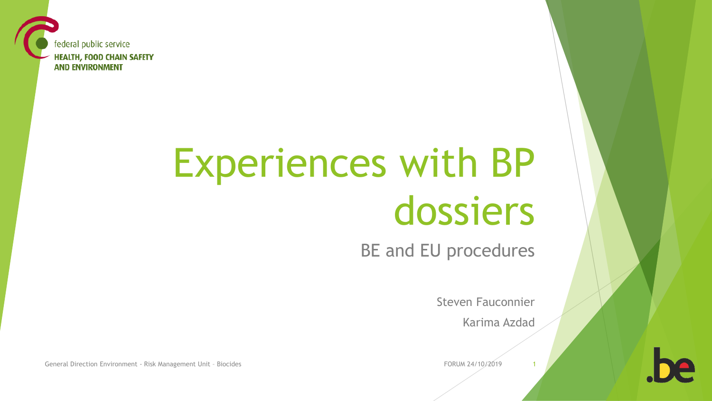federal public service **HEALTH, FOOD CHAIN SAFETY AND ENVIRONMENT** 

# Experiences with BP dossiers

BE and EU procedures

Steven Fauconnier

Karima Azdad

General Direction Environment - Risk Management Unit - Biocides FORUM 24/10/2019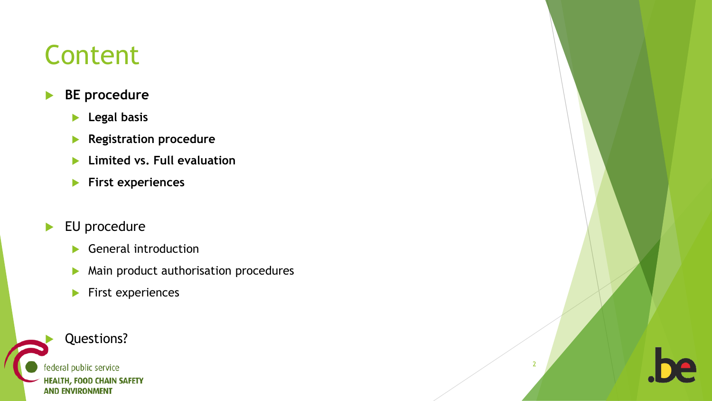## Content

#### **BE procedure**

- **Legal basis**
- **Registration procedure**
- **Limited vs. Full evaluation**
- **First experiences**
- EU procedure
	- General introduction
	- **Main product authorisation procedures**

2

 $\blacktriangleright$  First experiences

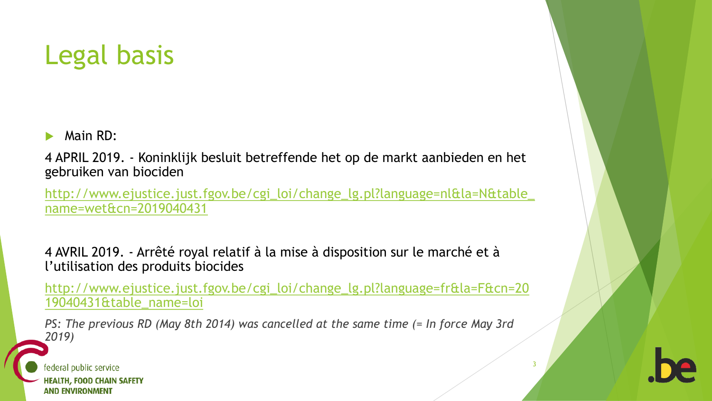### Legal basis

Main RD:

4 APRIL 2019. - Koninklijk besluit betreffende het op de markt aanbieden en het gebruiken van biociden

[http://www.ejustice.just.fgov.be/cgi\\_loi/change\\_lg.pl?language=nl&la=N&table\\_](http://www.ejustice.just.fgov.be/cgi_loi/change_lg.pl?language=nl&la=N&table_name=wet&cn=2019040431) name=wet&cn=2019040431

4 AVRIL 2019. - Arrêté royal relatif à la mise à disposition sur le marché et à l'utilisation des produits biocides

[http://www.ejustice.just.fgov.be/cgi\\_loi/change\\_lg.pl?language=fr&la=F&cn=20](http://www.ejustice.just.fgov.be/cgi_loi/change_lg.pl?language=fr&la=F&cn=2019040431&table_name=loi) 19040431&table\_name=loi

3

*PS: The previous RD (May 8th 2014) was cancelled at the same time (= In force May 3rd 2019)*

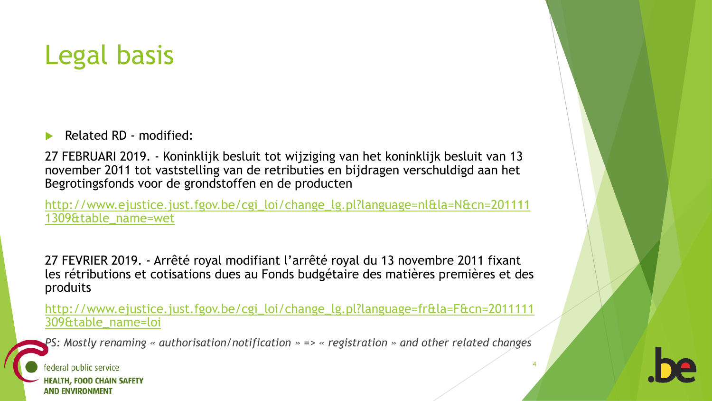### Legal basis

Related RD - modified:

27 FEBRUARI 2019. - Koninklijk besluit tot wijziging van het koninklijk besluit van 13 november 2011 tot vaststelling van de retributies en bijdragen verschuldigd aan het Begrotingsfonds voor de grondstoffen en de producten

[http://www.ejustice.just.fgov.be/cgi\\_loi/change\\_lg.pl?language=nl&la=N&cn=201111](http://www.ejustice.just.fgov.be/cgi_loi/change_lg.pl?language=nl&la=N&cn=2011111309&table_name=wet) 1309&table\_name=wet

27 FEVRIER 2019. - Arrêté royal modifiant l'arrêté royal du 13 novembre 2011 fixant les rétributions et cotisations dues au Fonds budgétaire des matières premières et des produits

[http://www.ejustice.just.fgov.be/cgi\\_loi/change\\_lg.pl?language=fr&la=F&cn=2011111](http://www.ejustice.just.fgov.be/cgi_loi/change_lg.pl?language=fr&la=F&cn=2011111309&table_name=loi) 309&table\_name=loi

*PS: Mostly renaming « authorisation/notification » => « registration » and other related changes*

4

federal public service **HEALTH, FOOD CHAIN SAFETY AND ENVIRONMENT**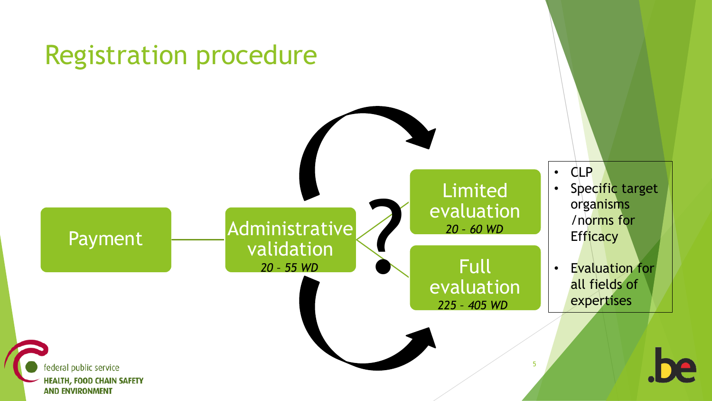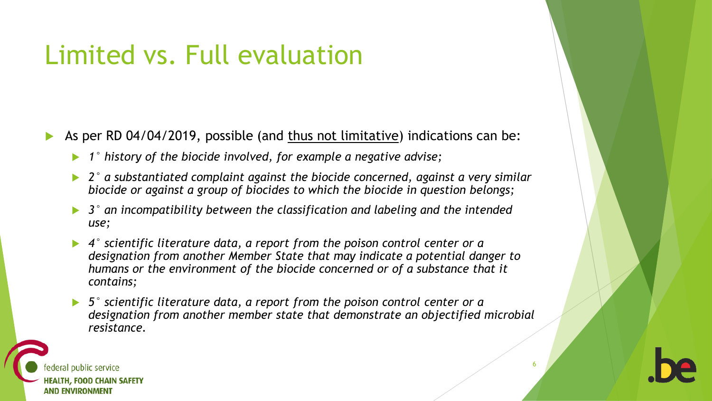## Limited vs. Full evaluation

- As per RD 04/04/2019, possible (and thus not limitative) indications can be:
	- *1° history of the biocide involved, for example a negative advise;*
	- *2° a substantiated complaint against the biocide concerned, against a very similar biocide or against a group of biocides to which the biocide in question belongs;*
	- *3° an incompatibility between the classification and labeling and the intended use;*
	- *4° scientific literature data, a report from the poison control center or a designation from another Member State that may indicate a potential danger to humans or the environment of the biocide concerned or of a substance that it contains;*
	- *5° scientific literature data, a report from the poison control center or a designation from another member state that demonstrate an objectified microbial resistance.*

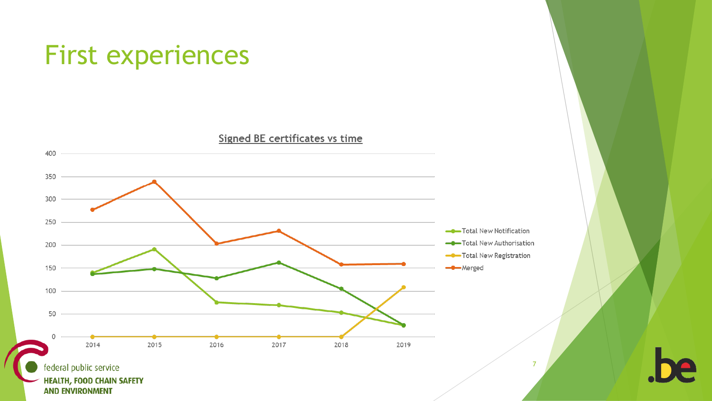

**HEALTH, FOOD CHAIN SAFETY AND ENVIRONMENT**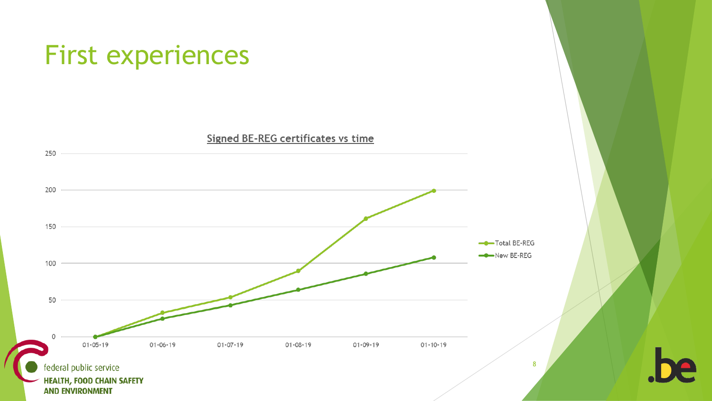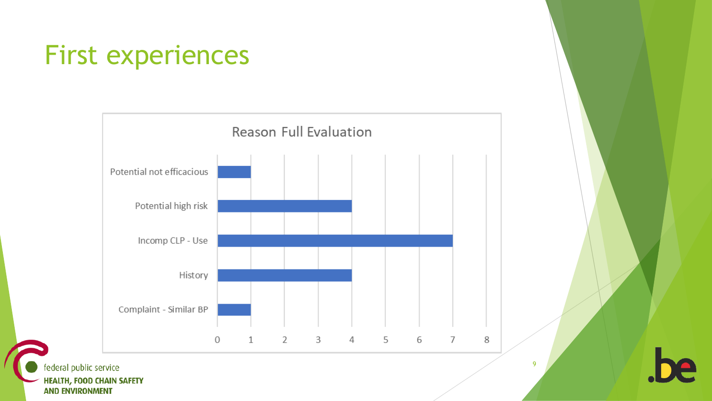

federal public service **HEALTH, FOOD CHAIN SAFETY** 

**AND ENVIRONMENT**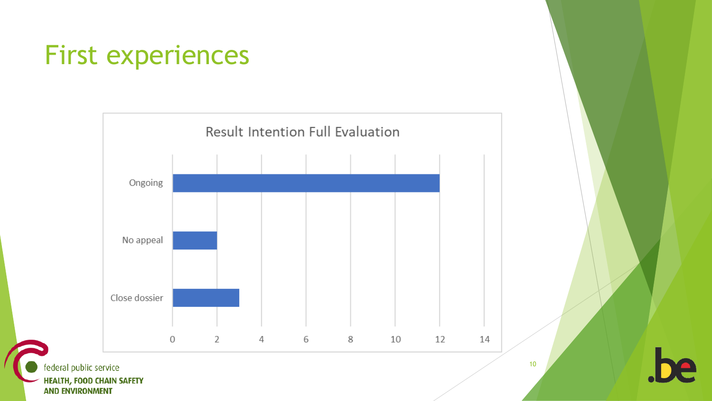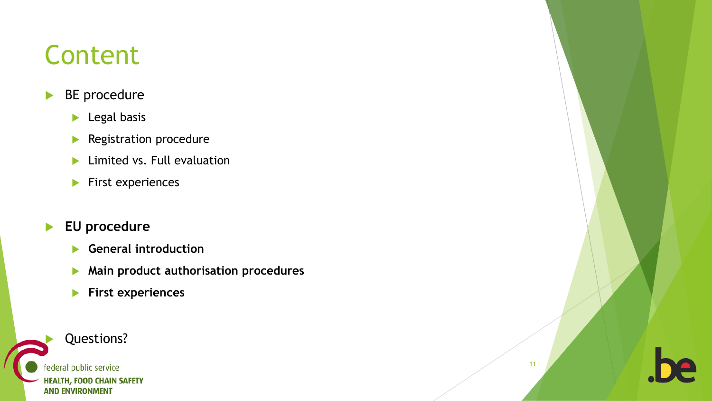## Content

#### **BE** procedure

- **Legal basis**
- **Registration procedure**
- **Limited vs. Full evaluation**
- $\blacktriangleright$  First experiences

#### **EU procedure**

- **General introduction**
- **Main product authorisation procedures**
- **First experiences**

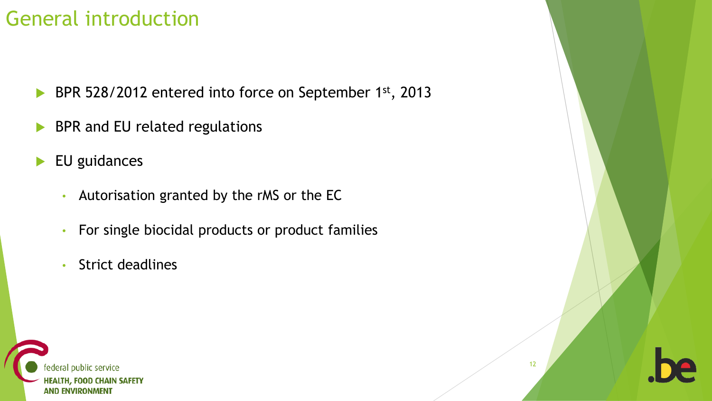### General introduction

- ▶ BPR 528/2012 entered into force on September 1st, 2013
- BPR and EU related regulations
- EU guidances
	- Autorisation granted by the rMS or the EC
	- For single biocidal products or product families
	- Strict deadlines

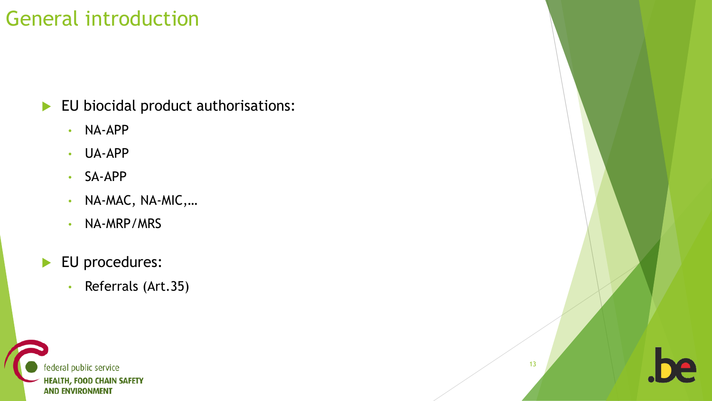### General introduction

EU biocidal product authorisations:

- NA-APP
- UA-APP
- SA-APP
- NA-MAC, NA-MIC,…
- NA-MRP/MRS
- EU procedures:
	- Referrals (Art.35)



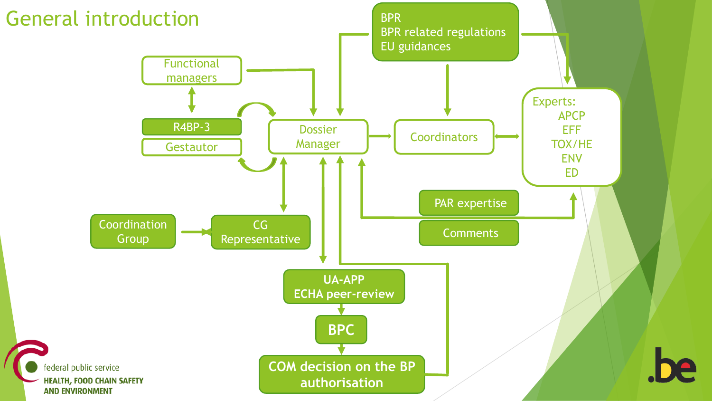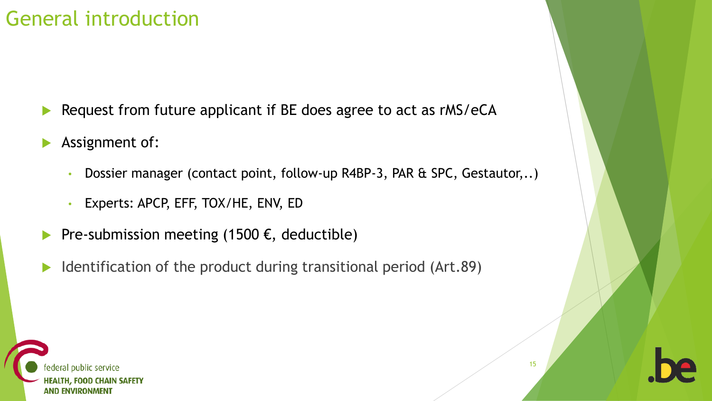### General introduction

- Request from future applicant if BE does agree to act as rMS/eCA
- Assignment of:
	- Dossier manager (contact point, follow-up R4BP-3, PAR & SPC, Gestautor,..)
	- Experts: APCP, EFF, TOX/HE, ENV, ED
- Pre-submission meeting (1500  $\epsilon$ , deductible)
- Identification of the product during transitional period (Art.89)



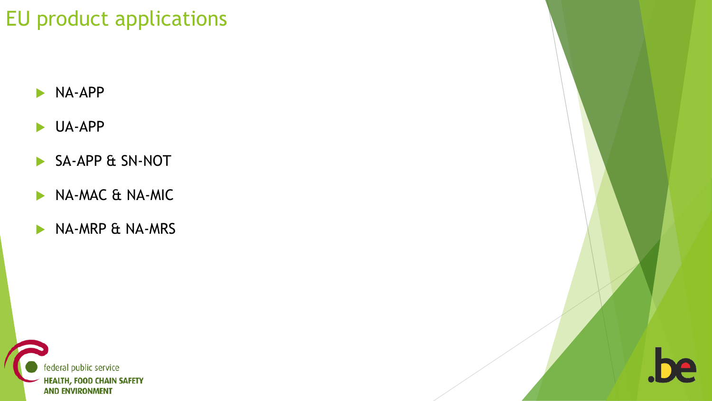### EU product applications

- NA-APP
- UA-APP
- SA-APP & SN-NOT
- NA-MAC & NA-MIC
- NA-MRP & NA-MRS



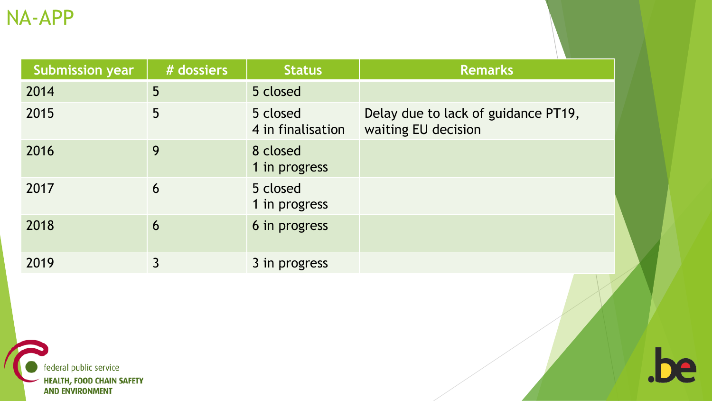| <b>Submission year</b> | # dossiers | <b>Status</b>                 | <b>Remarks</b>                                             |
|------------------------|------------|-------------------------------|------------------------------------------------------------|
| 2014                   | 5          | 5 closed                      |                                                            |
| 2015                   | 5          | 5 closed<br>4 in finalisation | Delay due to lack of guidance PT19,<br>waiting EU decision |
| 2016                   | 9          | 8 closed<br>1 in progress     |                                                            |
| 2017                   | 6          | 5 closed<br>1 in progress     |                                                            |
| 2018                   | 6          | 6 in progress                 |                                                            |
| 2019                   | 3          | 3 in progress                 |                                                            |

.be

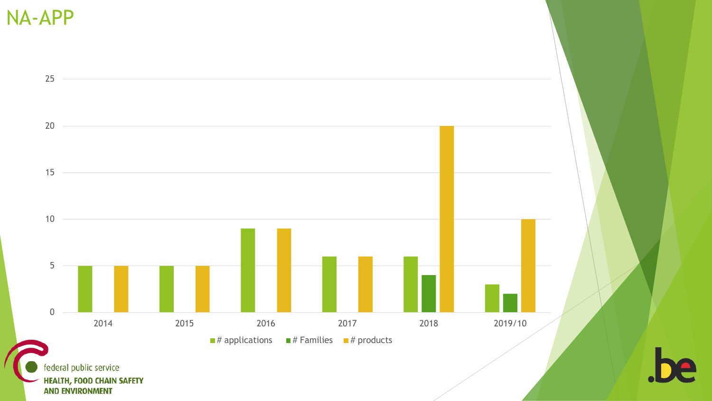NA-APP



**AND ENVIRONMENT**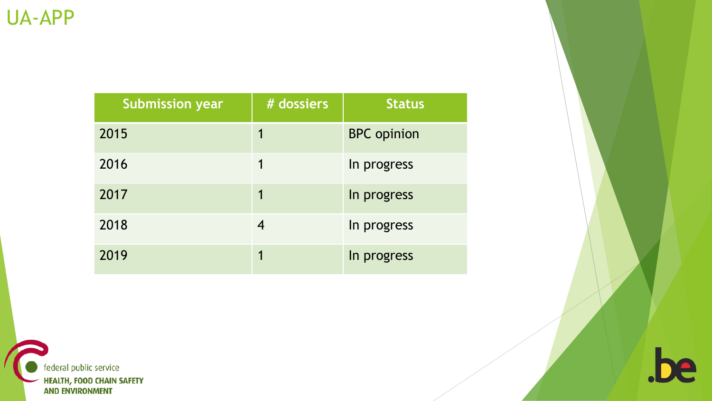| <b>Submission year</b> | # dossiers | <b>Status</b>      |
|------------------------|------------|--------------------|
| 2015                   |            | <b>BPC</b> opinion |
| 2016                   |            | In progress        |
| 2017                   |            | In progress        |
| 2018                   | 4          | In progress        |
| 2019                   |            | In progress        |



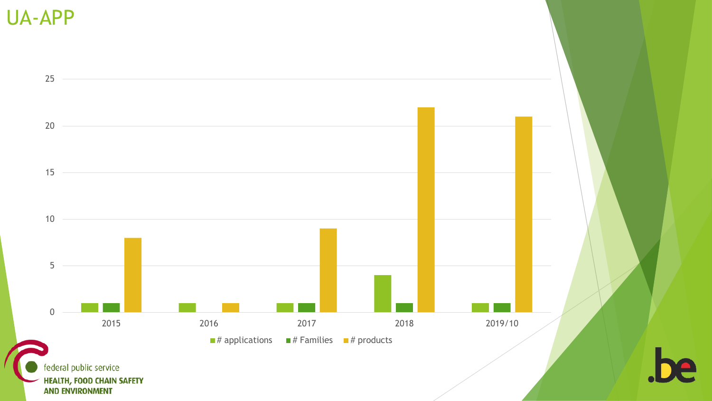UA-APP

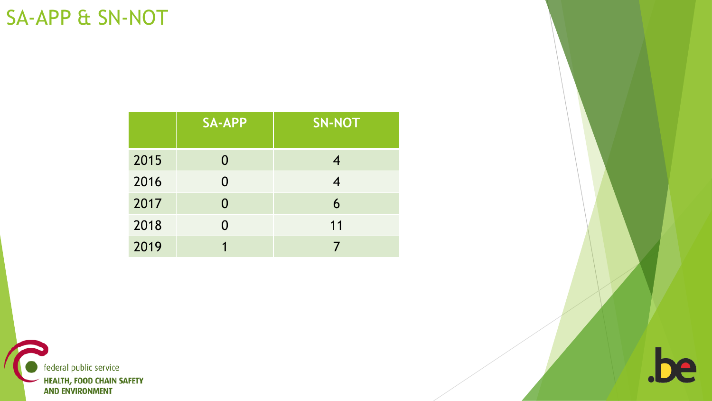#### SA-APP & SN-NOT

|      | <b>SA-APP</b> | <b>SN-NOT</b> |
|------|---------------|---------------|
| 2015 | 0             |               |
| 2016 | 0             |               |
| 2017 | 0             | 6             |
| 2018 | 0             | 11            |
| 2019 |               |               |



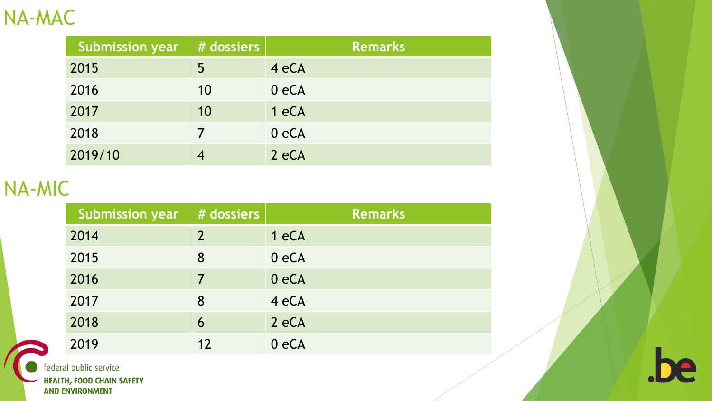#### NA-MAC

| <b>Submission year</b> | # dossiers | <b>Remarks</b> |
|------------------------|------------|----------------|
| 2015                   | 5          | 4 eCA          |
| 2016                   | 10         | 0eCA           |
| 2017                   | 10         | 1 eCA          |
| 2018                   |            | 0eCA           |
| 2019/10                |            | 2 eCA          |

#### NA-MIC

| <b>Submission year</b> | # dossiers     | <b>Remarks</b> |
|------------------------|----------------|----------------|
| 2014                   | $\overline{2}$ | 1 eCA          |
| 2015                   | 8              | 0 eCA          |
| 2016                   | 7              | 0eCA           |
| 2017                   | 8              | 4 eCA          |
| 2018                   | 6              | 2 eCA          |
| 2019                   | 12             | 0 eCA          |



federal public service

**HEALTH, FOOD CHAIN SAFETY<br>AND ENVIRONMENT** 

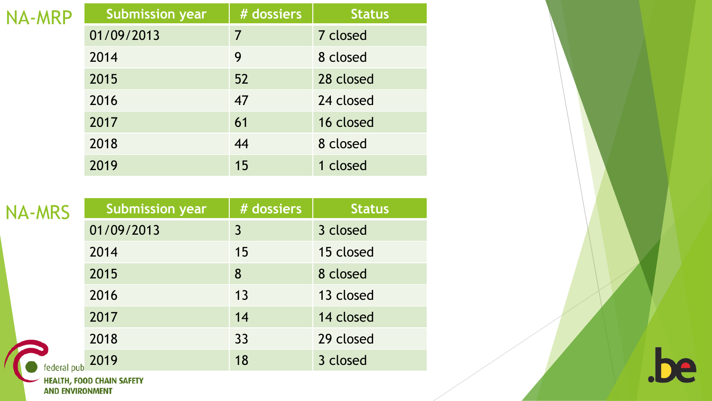| NA-MRP | <b>Submission year</b> | # dossiers | <b>Status</b> |
|--------|------------------------|------------|---------------|
|        | 01/09/2013             | 7          | 7 closed      |
|        | 2014                   | 9          | 8 closed      |
|        | 2015                   | 52         | 28 closed     |
|        | 2016                   | 47         | 24 closed     |
|        | 2017                   | 61         | 16 closed     |
|        | 2018                   | 44         | 8 closed      |
|        | 2019                   | 15         | 1 closed      |

| <b>NA-MRS</b> | <b>Submission year</b> | # dossiers | <b>Status</b> |
|---------------|------------------------|------------|---------------|
|               | 01/09/2013             | 3          | 3 closed      |
|               | 2014                   | 15         | 15 closed     |
|               | 2015                   | 8          | 8 closed      |
|               | 2016                   | 13         | 13 closed     |
|               | 2017                   | 14         | 14 closed     |
|               | 2018                   | 33         | 29 closed     |
| federal pub   | 2019                   | 18         | 3 closed      |
|               |                        |            |               |

**HEALTH, FOOD CHAIN SAFETY<br>AND ENVIRONMENT** 

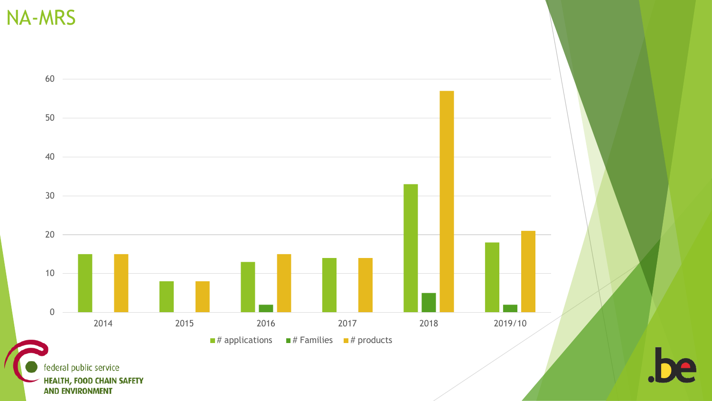NA-MRS



**HEALTH, FOOD CHAIN SAFETY AND ENVIRONMENT**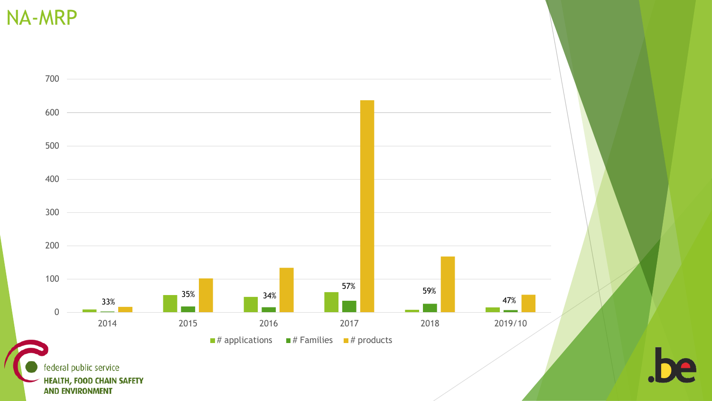NA-MRP

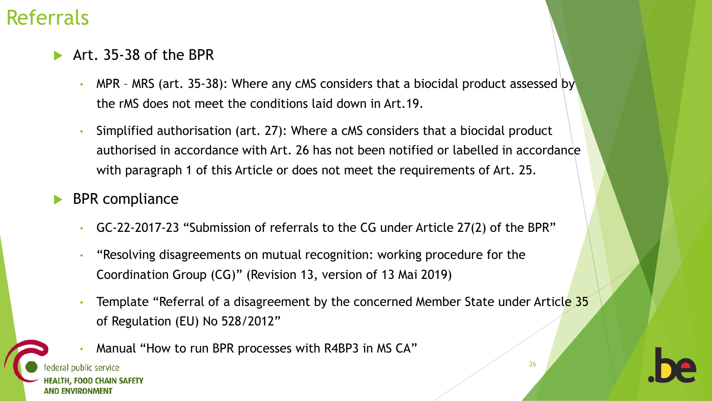#### Referrals

- Art. 35-38 of the BPR
	- MPR MRS (art. 35-38): Where any cMS considers that a biocidal product assessed by the rMS does not meet the conditions laid down in Art.19.
	- Simplified authorisation (art. 27): Where a cMS considers that a biocidal product authorised in accordance with Art. 26 has not been notified or labelled in accordance with paragraph 1 of this Article or does not meet the requirements of Art. 25.
- BPR compliance
	- GC-22-2017-23 "Submission of referrals to the CG under Article 27(2) of the BPR"
	- "Resolving disagreements on mutual recognition: working procedure for the Coordination Group (CG)" (Revision 13, version of 13 Mai 2019)
	- Template "Referral of a disagreement by the concerned Member State under Article 35 of Regulation (EU) No 528/2012"
	- Manual "How to run BPR processes with R4BP3 in MS CA"

**EALTH, FOOD CHAIN SAFETY** AND ENVIRONMENT

ral public service

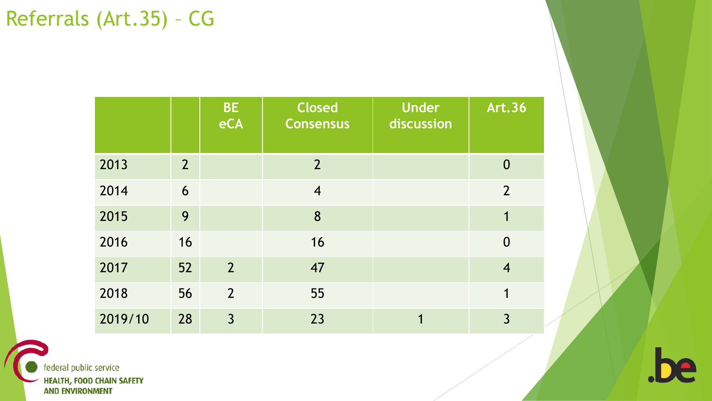|         |                | <b>BE</b><br>eCA | <b>Closed</b><br><b>Consensus</b> | <b>Under</b><br>discussion | <b>Art.36</b>    |
|---------|----------------|------------------|-----------------------------------|----------------------------|------------------|
| 2013    | $\overline{2}$ |                  | $\overline{2}$                    |                            | $\bf{0}$         |
| 2014    | 6              |                  | $\overline{4}$                    |                            | $\overline{2}$   |
| 2015    | 9              |                  | 8                                 |                            | 1                |
| 2016    | 16             |                  | 16                                |                            | $\boldsymbol{0}$ |
| 2017    | 52             | $\overline{2}$   | 47                                |                            | $\overline{4}$   |
| 2018    | 56             | $\overline{2}$   | 55                                |                            | 1                |
| 2019/10 | 28             | $\overline{3}$   | 23                                | 1                          | $\overline{3}$   |

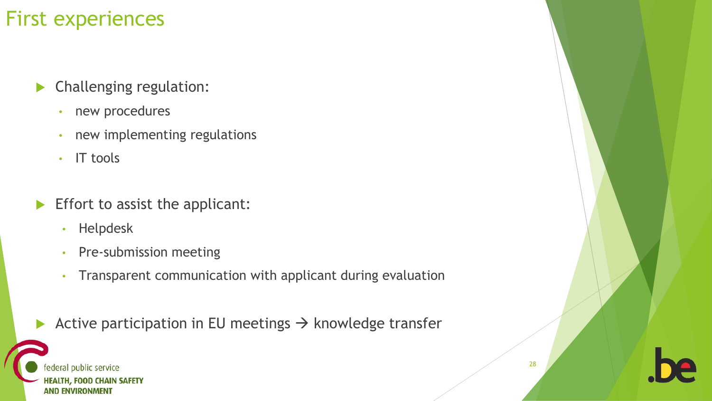- **Challenging regulation:** 
	- new procedures
	- new implementing regulations
	- IT tools
- $\blacktriangleright$  Effort to assist the applicant:
	- Helpdesk
	- Pre-submission meeting
	- Transparent communication with applicant during evaluation
	- Active participation in EU meetings  $\rightarrow$  knowledge transfer